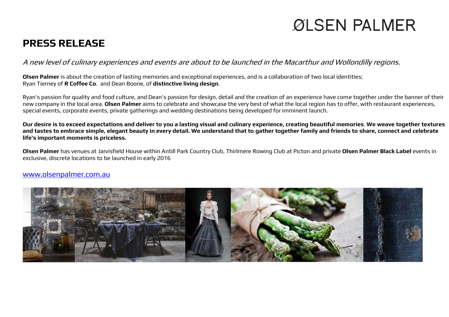## ØLSEN PALMER

## **PRESS RELEASE**

A new level of culinary experiences and events are about to be launched in the Macarthur and Wollondilly regions.

**Olsen Palmer** is about the creation of lasting memories and exceptional experiences, and is a collaboration of two local identities; Ryan Tierney of **R Coffee Co**. and Dean Boone, of **distinctive living design**.

Ryan's passion for quality and food culture, and Dean's passion for design, detail and the creation of an experience have come together under the banner of their new company in the local area. **Olsen Palmer** aims to celebrate and showcase the very best of what the local region has to offer, with restaurant experiences, special events, corporate events, private gatherings and wedding destinations being developed for imminent launch.

**Our desire is to exceed expectations and deliver to you a lasting visual and culinary experience, creating beautiful memories**. **We weave together textures and tastes to embrace simple, elegant beauty in every detail. We understand that to gather together family and friends to share, connect and celebrate life's important moments is priceless.**

**Olsen Palmer** has venues at Jarvisfield House within Antill Park Country Club, Thirlmere Rowing Club at Picton and private **Olsen Palmer Black Label** events in exclusive, discrete locations to be launched in early 2016

## [www.olsenpalmer.com.au](http://www.olsenpalmer.com.au/)